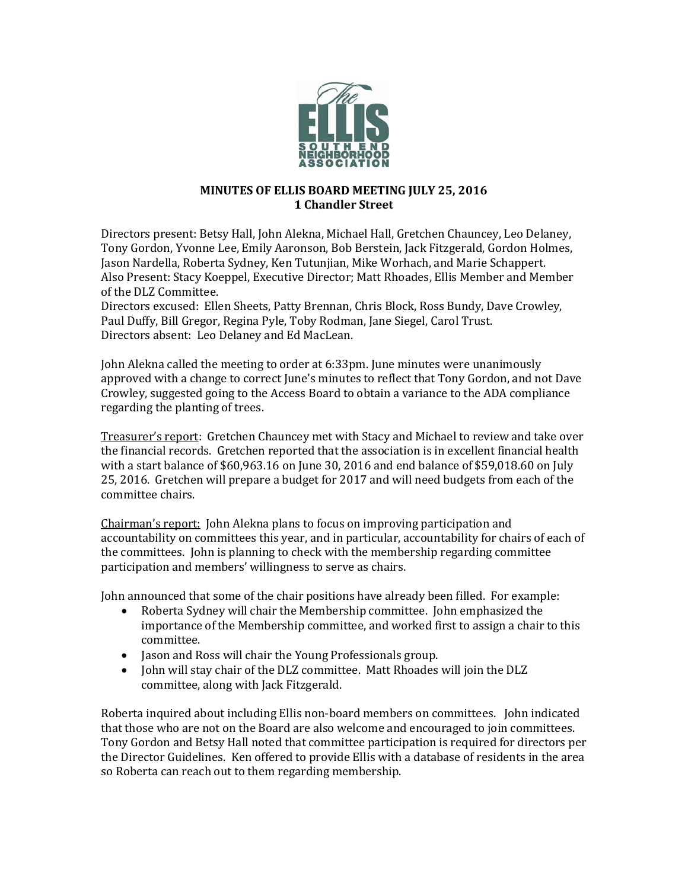

## **MINUTES OF ELLIS BOARD MEETING JULY 25, 2016 1 Chandler Street**

Directors present: Betsy Hall, John Alekna, Michael Hall, Gretchen Chauncey, Leo Delaney, Tony Gordon, Yvonne Lee, Emily Aaronson, Bob Berstein, Jack Fitzgerald, Gordon Holmes, Jason Nardella, Roberta Sydney, Ken Tutunjian, Mike Worhach, and Marie Schappert. Also Present: Stacy Koeppel, Executive Director; Matt Rhoades, Ellis Member and Member of the DLZ Committee.

Directors excused: Ellen Sheets, Patty Brennan, Chris Block, Ross Bundy, Dave Crowley, Paul Duffy, Bill Gregor, Regina Pyle, Toby Rodman, Jane Siegel, Carol Trust. Directors absent: Leo Delaney and Ed MacLean.

John Alekna called the meeting to order at 6:33pm. June minutes were unanimously approved with a change to correct June's minutes to reflect that Tony Gordon, and not Dave Crowley, suggested going to the Access Board to obtain a variance to the ADA compliance regarding the planting of trees.

Treasurer's report: Gretchen Chauncey met with Stacy and Michael to review and take over the financial records. Gretchen reported that the association is in excellent financial health with a start balance of \$60,963.16 on June 30, 2016 and end balance of \$59,018.60 on July 25, 2016. Gretchen will prepare a budget for 2017 and will need budgets from each of the committee chairs.

Chairman's report: John Alekna plans to focus on improving participation and accountability on committees this year, and in particular, accountability for chairs of each of the committees. John is planning to check with the membership regarding committee participation and members' willingness to serve as chairs.

John announced that some of the chair positions have already been filled. For example:<br>• Roberta Sydney will chair the Membership committee. John emphasized the

- Roberta Sydney will chair the Membership committee. John emphasized the importance of the Membership committee, and worked first to assign a chair to this committee.
- Jason and Ross will chair the Young Professionals group.
- John will stay chair of the DLZ committee. Matt Rhoades will join the DLZ committee, along with Jack Fitzgerald.

Roberta inquired about including Ellis non-board members on committees. John indicated that those who are not on the Board are also welcome and encouraged to join committees. Tony Gordon and Betsy Hall noted that committee participation is required for directors per the Director Guidelines. Ken offered to provide Ellis with a database of residents in the area so Roberta can reach out to them regarding membership.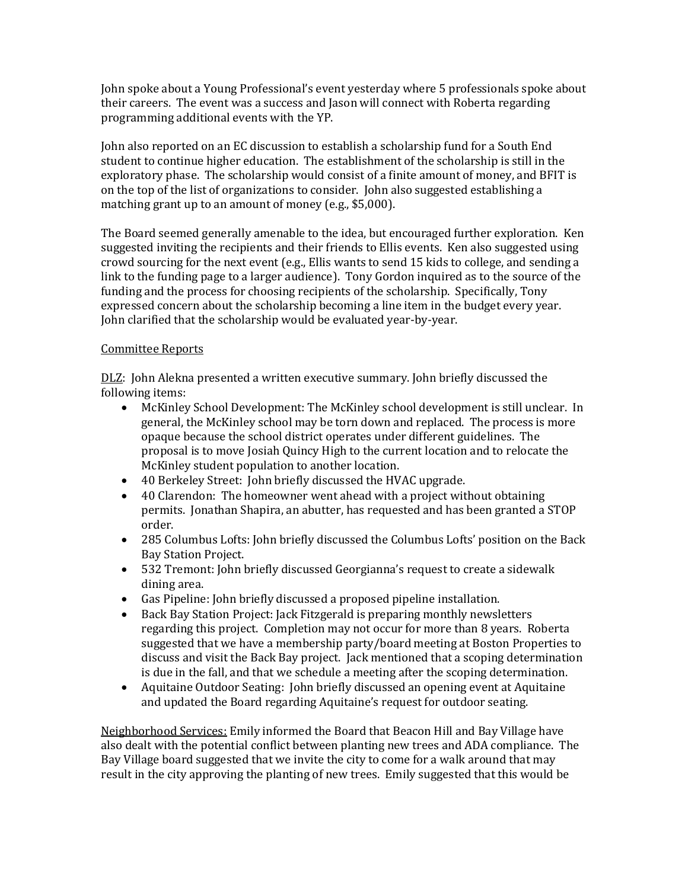John spoke about a Young Professional's event yesterday where 5 professionals spoke about their careers. The event was a success and Jason will connect with Roberta regarding programming additional events with the YP.

John also reported on an EC discussion to establish a scholarship fund for a South End student to continue higher education. The establishment of the scholarship is still in the exploratory phase. The scholarship would consist of a finite amount of money, and BFIT is on the top of the list of organizations to consider. John also suggested establishing a matching grant up to an amount of money (e.g., \$5,000).

The Board seemed generally amenable to the idea, but encouraged further exploration. Ken suggested inviting the recipients and their friends to Ellis events. Ken also suggested using crowd sourcing for the next event (e.g., Ellis wants to send 15 kids to college, and sending a link to the funding page to a larger audience). Tony Gordon inquired as to the source of the funding and the process for choosing recipients of the scholarship. Specifically, Tony expressed concern about the scholarship becoming a line item in the budget every year. John clarified that the scholarship would be evaluated year-by-year.

## Committee Reports

DLZ: John Alekna presented a written executive summary. John briefly discussed the following items:

- McKinley School Development: The McKinley school development is still unclear. In general, the McKinley school may be torn down and replaced. The process is more opaque because the school district operates under different guidelines. The proposal is to move Josiah Quincy High to the current location and to relocate the McKinley student population to another location.
- 40 Berkeley Street: John briefly discussed the HVAC upgrade.
- 40 Clarendon: The homeowner went ahead with a project without obtaining permits. Jonathan Shapira, an abutter, has requested and has been granted a STOP order.
- 285 Columbus Lofts: John briefly discussed the Columbus Lofts' position on the Back Bay Station Project.
- 532 Tremont: John briefly discussed Georgianna's request to create a sidewalk dining area.
- Gas Pipeline: John briefly discussed a proposed pipeline installation.
- Back Bay Station Project: Jack Fitzgerald is preparing monthly newsletters regarding this project. Completion may not occur for more than 8 years. Roberta suggested that we have a membership party/board meeting at Boston Properties to discuss and visit the Back Bay project. Jack mentioned that a scoping determination is due in the fall, and that we schedule a meeting after the scoping determination.
- Aquitaine Outdoor Seating: John briefly discussed an opening event at Aquitaine and updated the Board regarding Aquitaine's request for outdoor seating.

Neighborhood Services: Emily informed the Board that Beacon Hill and Bay Village have also dealt with the potential conflict between planting new trees and ADA compliance. The Bay Village board suggested that we invite the city to come for a walk around that may result in the city approving the planting of new trees. Emily suggested that this would be